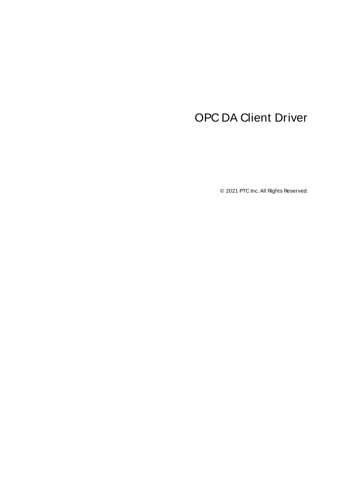# <span id="page-0-0"></span>OPC DA Client Driver

© 2021 PTC Inc. All Rights Reserved.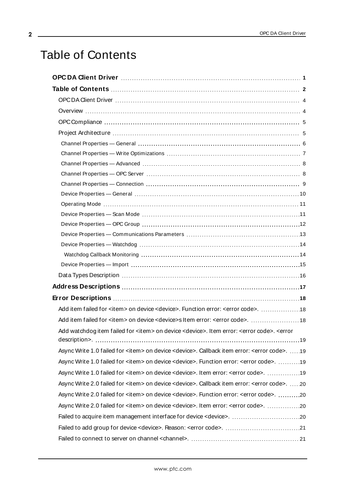# <span id="page-1-0"></span>Table of Contents

<u> 1989 - Johann Barn, mars eta bainar e</u>

| Add item failed for <item> on device <device>. Function error: <error code="">.  18</error></device></item>                                   |  |
|-----------------------------------------------------------------------------------------------------------------------------------------------|--|
| Add item failed for <item> on device <device>s Item error: <error code="">.  18</error></device></item>                                       |  |
| Add watchdog item failed for <item> on device <device>. Item error: <error code="">. <error< th=""><th></th></error<></error></device></item> |  |
| Async Write 1.0 failed for <item> on device <device>. Callback item error: <error code="">. 19</error></device></item>                        |  |
| Async Write 1.0 failed for <item> on device <device>. Function error: <error code="">. 19</error></device></item>                             |  |
| Async Write 1.0 failed for <item> on device <device>. Item error: <error code="">. 19</error></device></item>                                 |  |
| Async Write 2.0 failed for <item> on device <device>. Callback item error: <error code="">. 20</error></device></item>                        |  |
| Async Write 2.0 failed for <item> on device <device>. Function error: <error code="">. 20</error></device></item>                             |  |
| Async Write 2.0 failed for <item> on device <device>. Item error: <error code="">. 20</error></device></item>                                 |  |
|                                                                                                                                               |  |
|                                                                                                                                               |  |
|                                                                                                                                               |  |
|                                                                                                                                               |  |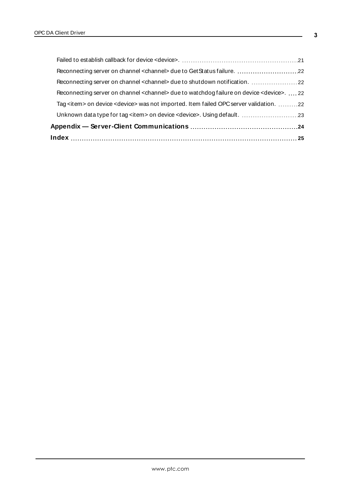| Appendix — Server-Client Communications …………………………………………24                                                  |  |
|-------------------------------------------------------------------------------------------------------------|--|
| Unknown data type for tag <item> on device <device>. Using default. 23</device></item>                      |  |
| Tag <item> on device <device> was not imported. Item failed OPC server validation. 22</device></item>       |  |
| Reconnecting server on channel <channel> due to watchdog failure on device <device>.  22</device></channel> |  |
| Reconnecting server on channel <channel> due to shutdown notification. 22</channel>                         |  |
| Reconnecting server on channel <channel> due to GetStatus failure. 22</channel>                             |  |
|                                                                                                             |  |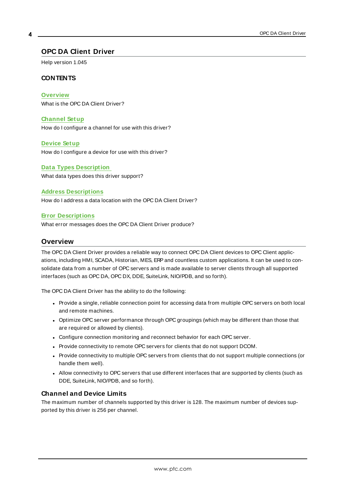## <span id="page-3-0"></span>**OPC DA Client Driver**

Help version 1.045

#### **CONTENTS**

#### **[Overview](#page-3-1)**

What is the OPC DA Client Driver?

#### **[Channel](#page-5-0) Setup**

How do I configure a channel for use with this driver?

#### **[Device](#page-9-0) Setup**

How do I configure a device for use with this driver?

#### **Data Types [Description](#page-15-0)** What data types does this driver support?

#### **Address [Descriptions](#page-16-0)**

How do I address a data location with the OPC DA Client Driver?

#### **Error [Descriptions](#page-17-0)**

<span id="page-3-1"></span>What error messages does the OPC DA Client Driver produce?

#### **Overview**

The OPC DA Client Driver provides a reliable way to connect OPC DA Client devices to OPC Client applications, including HMI, SCADA, Historian, MES, ERP and countless custom applications. It can be used to consolidate data from a number of OPC servers and is made available to server clients through all supported interfaces (such as OPC DA, OPC DX, DDE, SuiteLink, NIO/PDB, and so forth).

The OPC DA Client Driver has the ability to do the following:

- Provide a single, reliable connection point for accessing data from multiple OPC servers on both local and remote machines.
- Optimize OPC server performance through OPC groupings (which may be different than those that are required or allowed by clients).
- <span id="page-3-2"></span>• Configure connection monitoring and reconnect behavior for each OPC server.
- Provide connectivity to remote OPC servers for clients that do not support DCOM.
- Provide connectivity to multiple OPC servers from clients that do not support multiple connections (or handle them well).
- Allow connectivity to OPC servers that use different interfaces that are supported by clients (such as DDE, SuiteLink, NIO/PDB, and so forth).

#### **Channel and Device Limits**

The maximum number of channels supported by this driver is 128. The maximum number of devices supported by this driver is 256 per channel.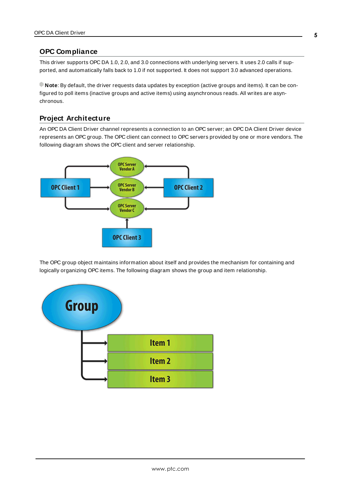# <span id="page-4-0"></span>**OPC Compliance**

This driver supports OPC DA 1.0, 2.0, and 3.0 connections with underlying servers. It uses 2.0 calls if supported, and automatically falls back to 1.0 if not supported. It does not support 3.0 advanced operations.

**Note**: By default, the driver requests data updates by exception (active groups and items). It can be configured to poll items (inactive groups and active items) using asynchronous reads. All writes are asynchronous.

# <span id="page-4-3"></span><span id="page-4-1"></span>**Project Architecture**

An OPC DA Client Driver channel represents a connection to an OPC server; an OPC DA Client Driver device represents an OPC group. The OPC client can connect to OPC servers provided by one or more vendors. The following diagram shows the OPC client and server relationship.



<span id="page-4-2"></span>The OPC group object maintains information about itself and provides the mechanism for containing and logically organizing OPC items. The following diagram shows the group and item relationship.

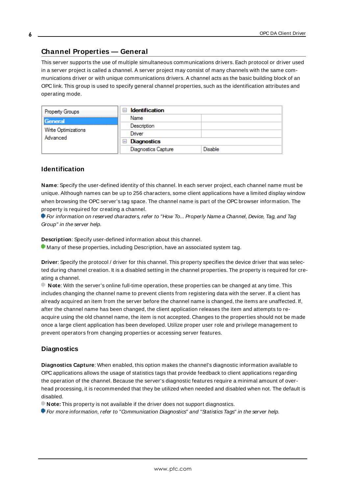## <span id="page-5-0"></span>**Channel Properties — General**

This server supports the use of multiple simultaneous communications drivers. Each protocol or driver used in a server project is called a channel. A server project may consist of many channels with the same communications driver or with unique communications drivers. A channel acts as the basic building block of an OPC link. This group is used to specify general channel properties, such as the identification attributes and operating mode.

| Property Groups                 | <b>Identification</b><br>-1 |         |
|---------------------------------|-----------------------------|---------|
| General                         | Name                        |         |
| Write Optimizations<br>Advanced | Description                 |         |
|                                 | Driver                      |         |
|                                 | Diagnostics<br>$\equiv$     |         |
|                                 | <b>Diagnostics Capture</b>  | Disable |

### **Identification**

**Name**: Specify the user-defined identity of this channel. In each server project, each channel name must be unique. Although names can be up to 256 characters, some client applications have a limited display window when browsing the OPC server's tag space. The channel name is part of the OPC browser information. The property is required for creating a channel.

For information on reserved characters, refer to "How To... Properly Name a Channel, Device, Tag, and Tag Group" in the server help.

**Description**: Specify user-defined information about this channel.

Many of these properties, including Description, have an associated system tag.

**Driver**: Specify the protocol / driver for this channel. This property specifies the device driver that was selected during channel creation. It is a disabled setting in the channel properties. The property is required for creating a channel.

**Note**: With the server's online full-time operation, these properties can be changed at any time. This includes changing the channel name to prevent clients from registering data with the server. If a client has already acquired an item from the server before the channel name is changed, the items are unaffected. If, after the channel name has been changed, the client application releases the item and attempts to reacquire using the old channel name, the item is not accepted. Changes to the properties should not be made once a large client application has been developed. Utilize proper user role and privilege management to prevent operators from changing properties or accessing server features.

#### **Diagnostics**

**Diagnostics Capture**: When enabled, this option makes the channel's diagnostic information available to OPC applications allows the usage of statistics tags that provide feedback to client applications regarding the operation of the channel. Because the server's diagnostic features require a minimal amount of overhead processing, it is recommended that they be utilized when needed and disabled when not. The default is disabled.

**Note:** This property is not available if the driver does not support diagnostics.

**• For more information, refer to "Communication Diagnostics" and "Statistics Tags" in the server help.**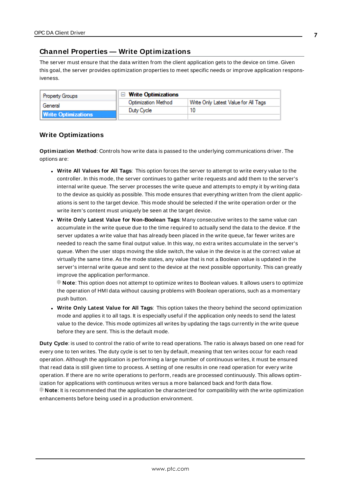## <span id="page-6-0"></span>**Channel Properties — Write Optimizations**

The server must ensure that the data written from the client application gets to the device on time. Given this goal, the server provides optimization properties to meet specific needs or improve application responsiveness.

| <b>Property Groups</b>     | $\Box$ Write Optimizations |                                      |
|----------------------------|----------------------------|--------------------------------------|
| General                    | <b>Optimization Method</b> | Write Only Latest Value for All Tags |
|                            | Duty Cycle                 |                                      |
| <b>Write Optimizations</b> |                            |                                      |

### **Write Optimizations**

**Optimization Method**: Controls how write data is passed to the underlying communications driver. The options are:

- <sup>l</sup> **Write All Values for All Tags**: This option forces the server to attempt to write every value to the controller. In this mode, the server continues to gather write requests and add them to the server's internal write queue. The server processes the write queue and attempts to empty it by writing data to the device as quickly as possible. This mode ensures that everything written from the client applications is sent to the target device. This mode should be selected if the write operation order or the write item's content must uniquely be seen at the target device.
- <sup>l</sup> **Write Only Latest Value for Non-Boolean Tags**: Many consecutive writes to the same value can accumulate in the write queue due to the time required to actually send the data to the device. If the server updates a write value that has already been placed in the write queue, far fewer writes are needed to reach the same final output value. In this way, no extra writes accumulate in the server's queue. When the user stops moving the slide switch, the value in the device is at the correct value at virtually the same time. As the mode states, any value that is not a Boolean value is updated in the server's internal write queue and sent to the device at the next possible opportunity. This can greatly improve the application performance.

**Note**: This option does not attempt to optimize writes to Boolean values. It allows users to optimize the operation of HMI data without causing problems with Boolean operations, such as a momentary push button.

**• Write Only Latest Value for All Tags**: This option takes the theory behind the second optimization mode and applies it to all tags. It is especially useful if the application only needs to send the latest value to the device. This mode optimizes all writes by updating the tags currently in the write queue before they are sent. This is the default mode.

**Duty Cycle**: is used to control the ratio of write to read operations. The ratio is always based on one read for every one to ten writes. The duty cycle is set to ten by default, meaning that ten writes occur for each read operation. Although the application is performing a large number of continuous writes, it must be ensured that read data is still given time to process. A setting of one results in one read operation for every write operation. If there are no write operations to perform, reads are processed continuously. This allows optimization for applications with continuous writes versus a more balanced back and forth data flow. **Note**: It is recommended that the application be characterized for compatibility with the write optimization enhancements before being used in a production environment.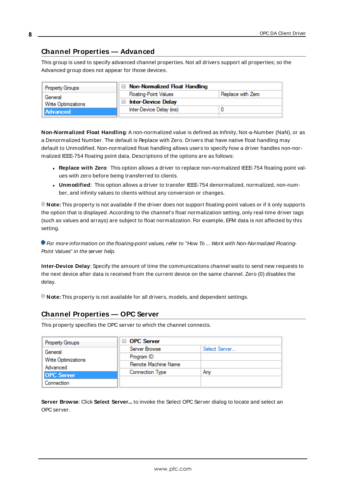## <span id="page-7-0"></span>**Channel Properties — Advanced**

This group is used to specify advanced channel properties. Not all drivers support all properties; so the Advanced group does not appear for those devices.

| <b>Property Groups</b> | Non-Normalized Float Handling |                   |
|------------------------|-------------------------------|-------------------|
| General                | <b>Floating-Point Values</b>  | Replace with Zero |
| Write Optimizations    | <b>Inter-Device Delay</b>     |                   |
| <b>Advanced</b>        | Inter-Device Delay (ms)       |                   |
|                        |                               |                   |

**Non-Normalized Float Handling**: A non-normalized value is defined as Infinity, Not-a-Number (NaN), or as a Denormalized Number. The default is Replace with Zero. Drivers that have native float handling may default to Unmodified. Non-normalized float handling allows users to specify how a driver handles non-normalized IEEE-754 floating point data. Descriptions of the options are as follows:

- <sup>l</sup> **Replace with Zero**: This option allows a driver to replace non-normalized IEEE-754 floating point values with zero before being transferred to clients.
- <sup>l</sup> **Unmodified**: This option allows a driver to transfer IEEE-754 denormalized, normalized, non-number, and infinity values to clients without any conversion or changes.

**Note:** This property is not available if the driver does not support floating-point values or if it only supports the option that is displayed. According to the channel's float normalization setting, only real-time driver tags (such as values and arrays) are subject to float normalization. For example, EFM data is not affected by this setting.

For more information on the floating-point values, refer to "How To ... Work with Non-Normalized Floating-Point Values" in the server help.

**Inter-Device Delay**: Specify the amount of time the communications channel waits to send new requests to the next device after data is received from the current device on the same channel. Zero (0) disables the delay.

<span id="page-7-1"></span>**Note:** This property is not available for all drivers, models, and dependent settings.

# <span id="page-7-2"></span>**Channel Properties — OPC Server**

This property specifies the OPC server to which the channel connects.

| <b>Property Groups</b> | <b>OPC Server</b><br>$\blacksquare$ |               |
|------------------------|-------------------------------------|---------------|
| General                | Server Browse                       | Select Server |
| Write Optimizations    | Program ID                          |               |
| Advanced               | Remote Machine Name                 |               |
| <b>OPC Server</b>      | Connection Type                     | Any           |
| Connection             |                                     |               |

**Server Browse**: Click **Select Server...** to invoke the Select OPC Server dialog to locate and select an OPC server.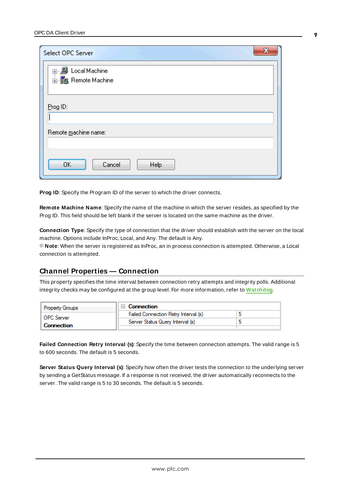| x<br>Select OPC Server                       |
|----------------------------------------------|
| 国…鳳 Local Machine<br><b>⊞ Remote Machine</b> |
| Prog ID:                                     |
| Remote machine name:                         |
| 0K<br>Cancel<br>Help                         |

<span id="page-8-4"></span><span id="page-8-3"></span>**Prog ID**: Specify the Program ID of the server to which the driver connects.

**Remote Machine Name**: Specify the name of the machine in which the server resides, as specified by the Prog ID. This field should be left blank if the server is located on the same machine as the driver.

<span id="page-8-1"></span>**Connection Type**: Specify the type of connection that the driver should establish with the server on the local machine. Options include InProc, Local, and Any. The default is Any.

**Note**: When the server is registered as InProc, an in process connection is attempted. Otherwise, a Local connection is attempted.

## <span id="page-8-0"></span>**Channel Properties — Connection**

This property specifies the time interval between connection retry attempts and integrity polls. Additional integrity checks may be configured at the group level. For more information, refer to **[Watchdog](#page-13-0)**.

| <b>Property Groups</b> | $\Box$ Connection                    |  |
|------------------------|--------------------------------------|--|
| l OPC Server           | Failed Connection Retry Interval (s) |  |
| <b>Connection</b>      | Server Status Query Interval (s)     |  |
|                        |                                      |  |

<span id="page-8-5"></span>**Failed Connection Retry Interval (s)**: Specify the time between connection attempts. The valid range is 5 to 600 seconds. The default is 5 seconds.

<span id="page-8-2"></span>**Server Status Query Interval (s)**: Specify how often the driver tests the connection to the underlying server by sending a GetStatus message. If a response is not received, the driver automatically reconnects to the server. The valid range is 5 to 30 seconds. The default is 5 seconds.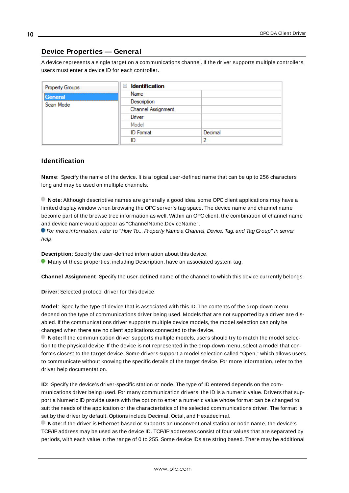## <span id="page-9-0"></span>**Device Properties — General**

A device represents a single target on a communications channel. If the driver supports multiple controllers, users must enter a device ID for each controller.

| Property Groups | <b>Identification</b><br>$-$ |         |
|-----------------|------------------------------|---------|
| General         | Name                         |         |
| Scan Mode       | Description                  |         |
|                 | Channel Assignment           |         |
|                 | Driver                       |         |
|                 | Model                        |         |
|                 | <b>ID</b> Format             | Decimal |
|                 | ID                           | 2       |

## <span id="page-9-5"></span>**Identification**

**Name**: Specify the name of the device. It is a logical user-defined name that can be up to 256 characters long and may be used on multiple channels.

**Note**: Although descriptive names are generally a good idea, some OPC client applications may have a limited display window when browsing the OPC server's tag space. The device name and channel name become part of the browse tree information as well. Within an OPC client, the combination of channel name and device name would appear as "ChannelName.DeviceName".

For more information, refer to "How To... Properly Name a Channel, Device, Tag, and Tag Group" in server help.

**Description**: Specify the user-defined information about this device.

<span id="page-9-1"></span>**Many of these properties, including Description, have an associated system tag.** 

<span id="page-9-2"></span>**Channel Assignment**: Specify the user-defined name of the channel to which this device currently belongs.

<span id="page-9-4"></span>**Driver**: Selected protocol driver for this device.

**Model**: Specify the type of device that is associated with this ID. The contents of the drop-down menu depend on the type of communications driver being used. Models that are not supported by a driver are disabled. If the communications driver supports multiple device models, the model selection can only be changed when there are no client applications connected to the device.

**Note:** If the communication driver supports multiple models, users should try to match the model selection to the physical device. If the device is not represented in the drop-down menu, select a model that conforms closest to the target device. Some drivers support a model selection called "Open," which allows users to communicate without knowing the specific details of the target device. For more information, refer to the driver help documentation.

<span id="page-9-3"></span>**ID**: Specify the device's driver-specific station or node. The type of ID entered depends on the communications driver being used. For many communication drivers, the ID is a numeric value. Drivers that support a Numeric ID provide users with the option to enter a numeric value whose format can be changed to suit the needs of the application or the characteristics of the selected communications driver. The format is set by the driver by default. Options include Decimal, Octal, and Hexadecimal.

**Note**: If the driver is Ethernet-based or supports an unconventional station or node name, the device's TCP/IPaddress may be used as the device ID. TCP/IPaddresses consist of four values that are separated by periods, with each value in the range of 0 to 255. Some device IDs are string based. There may be additional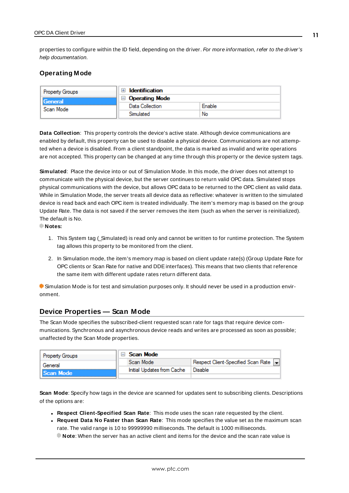properties to configure within the ID field, depending on the driver. For more information, refer to the driver's help documentation.

## <span id="page-10-0"></span>**Operating Mode**

| Property Groups | <b>Identification</b> |        |
|-----------------|-----------------------|--------|
| General         | <b>Operating Mode</b> |        |
| Scan Mode       | Data Collection       | Enable |
|                 | Simulated             | No     |

<span id="page-10-2"></span>**Data Collection**: This property controls the device's active state. Although device communications are enabled by default, this property can be used to disable a physical device. Communications are not attempted when a device is disabled. From a client standpoint, the data is marked as invalid and write operations are not accepted. This property can be changed at any time through this property or the device system tags.

<span id="page-10-4"></span>**Simulated**: Place the device into or out of Simulation Mode. In this mode, the driver does not attempt to communicate with the physical device, but the server continues to return valid OPC data. Simulated stops physical communications with the device, but allows OPC data to be returned to the OPC client as valid data. While in Simulation Mode, the server treats all device data as reflective: whatever is written to the simulated device is read back and each OPC item is treated individually. The item's memory map is based on the group Update Rate. The data is not saved if the server removes the item (such as when the server is reinitialized). The default is No.

**Notes:**

- 1. This System tag (Simulated) is read only and cannot be written to for runtime protection. The System tag allows this property to be monitored from the client.
- 2. In Simulation mode, the item's memory map is based on client update rate(s) (Group Update Rate for OPC clients or Scan Rate for native and DDEinterfaces). This means that two clients that reference the same item with different update rates return different data.

 Simulation Mode is for test and simulation purposes only. It should never be used in a production environment.

## <span id="page-10-1"></span>**Device Properties — Scan Mode**

The Scan Mode specifies the subscribed-client requested scan rate for tags that require device communications. Synchronous and asynchronous device reads and writes are processed as soon as possible; unaffected by the Scan Mode properties.

| Property Groups | $\Box$ Scan Mode           |                                    |
|-----------------|----------------------------|------------------------------------|
| General         | Scan Mode                  | Respect Client-Specified Scan Rate |
| Scan Mode       | Initial Updates from Cache | <b>Disable</b>                     |
|                 |                            |                                    |

<span id="page-10-3"></span>**Scan Mode**: Specify how tags in the device are scanned for updates sent to subscribing clients. Descriptions of the options are:

- <sup>l</sup> **Respect Client-Specified Scan Rate**: This mode uses the scan rate requested by the client.
- <sup>l</sup> **Request Data No Faster than Scan Rate**: This mode specifies the value set as the maximum scan rate. The valid range is 10 to 99999990 milliseconds. The default is 1000 milliseconds.

**Note**: When the server has an active client and items for the device and the scan rate value is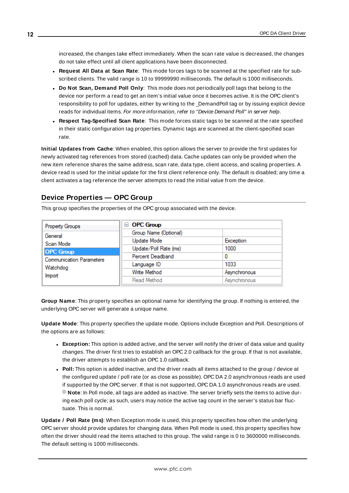increased, the changes take effect immediately. When the scan rate value is decreased, the changes do not take effect until all client applications have been disconnected.

- <sup>l</sup> **Request All Data at Scan Rate**: This mode forces tags to be scanned at the specified rate for subscribed clients. The valid range is 10 to 99999990 milliseconds. The default is 1000 milliseconds.
- <span id="page-11-1"></span><sup>l</sup> **Do Not Scan, Demand Poll Only**: This mode does not periodically poll tags that belong to the device nor perform a read to get an item's initial value once it becomes active. It is the OPC client's responsibility to poll for updates, either by writing to the \_DemandPoll tag or by issuing explicit device reads for individual items. For more information, refer to "Device Demand Poll" in server help.
- <span id="page-11-6"></span><sup>l</sup> **Respect Tag-Specified Scan Rate**: This mode forces static tags to be scanned at the rate specified in their static configuration tag properties. Dynamic tags are scanned at the client-specified scan rate.

<span id="page-11-3"></span>**Initial Updates from Cache**: When enabled, this option allows the server to provide the first updates for newly activated tag references from stored (cached) data. Cache updates can only be provided when the new item reference shares the same address, scan rate, data type, client access, and scaling properties. A device read is used for the initial update for the first client reference only. The default is disabled; any time a client activates a tag reference the server attempts to read the initial value from the device.

# <span id="page-11-0"></span>**Device Properties — OPC Group**

This group specifies the properties of the OPC group associated with the device.

| <b>Property Groups</b>          | <b>OPC Group</b><br>$=$ |              |
|---------------------------------|-------------------------|--------------|
| General                         | Group Name (Optional)   |              |
| Scan Mode                       | <b>Update Mode</b>      | Exception    |
| <b>OPC Group</b>                | Update/Poll Rate (ms)   | 1000         |
| <b>Communication Parameters</b> | Percent Deadband        | 0            |
| Watchdog                        | Language ID             | 1033         |
| Import                          | Write Method            | Asynchronous |
|                                 | Read Method             | Asynchronous |
|                                 |                         |              |

**Group Name**: This property specifies an optional name for identifying the group. If nothing is entered, the underlying OPC server will generate a unique name.

<span id="page-11-7"></span>**Update Mode**: This property specifies the update mode. Options include Exception and Poll. Descriptions of the options are as follows:

- <span id="page-11-2"></span>**Exception:** This option is added active, and the server will notify the driver of data value and quality changes. The driver first tries to establish an OPC 2.0 callback for the group. If that is not available, the driver attempts to establish an OPC 1.0 callback.
- <span id="page-11-4"></span>• Poll: This option is added inactive, and the driver reads all items attached to the group / device at the configured update / poll rate (or as close as possible). OPC DA 2.0 asynchronous reads are used if supported by the OPC server. If that is not supported, OPC DA 1.0 asynchronous reads are used. **Note**: In Poll mode, all tags are added as inactive. The server briefly sets the items to active during each poll cycle; as such, users may notice the active tag count in the server's status bar fluctuate. This is normal.

<span id="page-11-5"></span>**Update / Poll Rate (ms)**: When Exception mode is used, this property specifies how often the underlying OPC server should provide updates for changing data. When Poll mode is used, this property specifies how often the driver should read the items attached to this group. The valid range is 0 to 3600000 milliseconds. The default setting is 1000 milliseconds.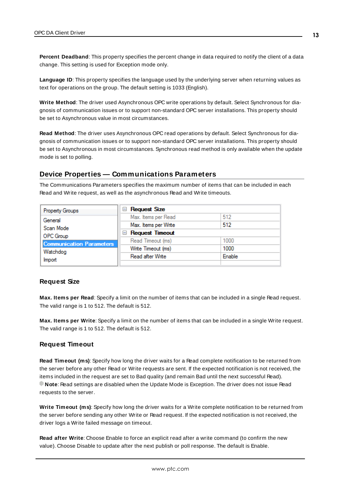<span id="page-12-2"></span>**Percent Deadband**: This property specifies the percent change in data required to notify the client of a data change. This setting is used for Exception mode only.

<span id="page-12-3"></span>**Language ID**: This property specifies the language used by the underlying server when returning values as text for operations on the group. The default setting is 1033 (English).

<span id="page-12-1"></span>**Write Method**: The driver used Asynchronous OPC write operations by default. Select Synchronous for diagnosis of communication issues or to support non-standard OPC server installations. This property should be set to Asynchronous value in most circumstances.

<span id="page-12-5"></span>**Read Method**: The driver uses Asynchronous OPC read operations by default. Select Synchronous for diagnosis of communication issues or to support non-standard OPC server installations. This property should be set to Asynchronous in most circumstances. Synchronous read method is only available when the update mode is set to polling.

### <span id="page-12-0"></span>**Device Properties — Communications Parameters**

The Communications Parameters specifies the maximum number of items that can be included in each Read and Write request, as well as the asynchronous Read and Write timeouts.

| <b>Property Groups</b>                                | <b>Request Size</b><br>$=$    |        |  |  |
|-------------------------------------------------------|-------------------------------|--------|--|--|
| General<br>Scan Mode                                  | Max. Items per Read           | 512    |  |  |
|                                                       | Max. Items per Write          | 512    |  |  |
| OPC Group                                             | <b>Request Timeout</b><br>$=$ |        |  |  |
| <b>Communication Parameters</b><br>Watchdog<br>Import | Read Timeout (ms)             | 1000   |  |  |
|                                                       | Write Timeout (ms)            | 1000   |  |  |
|                                                       | Read after Write              | Enable |  |  |
|                                                       |                               |        |  |  |

## <span id="page-12-6"></span>**Request Size**

**Max. Items per Read**: Specify a limit on the number of items that can be included in a single Read request. The valid range is 1 to 512. The default is 512.

<span id="page-12-8"></span>**Max. Items per Write**: Specify a limit on the number of items that can be included in a single Write request. The valid range is 1 to 512. The default is 512.

#### <span id="page-12-7"></span>**Request Timeout**

**Read Timeout (ms)**: Specify how long the driver waits for a Read complete notification to be returned from the server before any other Read or Write requests are sent. If the expected notification is not received, the items included in the request are set to Bad quality (and remain Bad until the next successful Read). **Note**: Read settings are disabled when the Update Mode is Exception. The driver does not issue Read requests to the server.

<span id="page-12-9"></span>**Write Timeout (ms)**: Specify how long the driver waits for a Write complete notification to be returned from the server before sending any other Write or Read request. If the expected notification is not received, the driver logs a Write failed message on timeout.

<span id="page-12-4"></span>**Read after Write**: Choose Enable to force an explicit read after a write command (to confirm the new value). Choose Disable to update after the next publish or poll response. The default is Enable.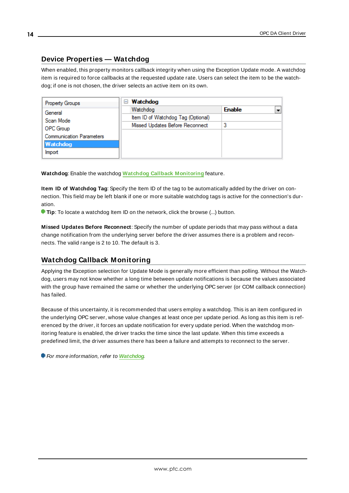# <span id="page-13-3"></span><span id="page-13-0"></span>**Device Properties — Watchdog**

When enabled, this property monitors callback integrity when using the Exception Update mode. A watchdog item is required to force callbacks at the requested update rate. Users can select the item to be the watchdog; if one is not chosen, the driver selects an active item on its own.

| Property Groups                 | Watchdog<br>$\overline{}$          |               |  |
|---------------------------------|------------------------------------|---------------|--|
| General                         | Watchdog                           | <b>Enable</b> |  |
| Scan Mode                       | Item ID of Watchdog Tag (Optional) |               |  |
| OPC Group                       | Missed Updates Before Reconnect    | 3             |  |
|                                 |                                    |               |  |
| <b>Communication Parameters</b> |                                    |               |  |
| Watchdog                        |                                    |               |  |
| Import                          |                                    |               |  |
|                                 |                                    |               |  |

<span id="page-13-2"></span>**Watchdog**: Enable the watchdog **Watchdog Callback [Monitoring](#page-13-1)** feature.

**Item ID of Watchdog Tag**: Specify the Item ID of the tag to be automatically added by the driver on connection. This field may be left blank if one or more suitable watchdog tags is active for the connection's duration.

<span id="page-13-4"></span>**Tip**: To locate a watchdog Item ID on the network, click the browse (...) button.

**Missed Updates Before Reconnect**: Specify the number of update periods that may pass without a data change notification from the underlying server before the driver assumes there is a problem and reconnects. The valid range is 2 to 10. The default is 3.

# <span id="page-13-5"></span><span id="page-13-1"></span>**Watchdog Callback Monitoring**

Applying the Exception selection for Update Mode is generally more efficient than polling. Without the Watchdog, users may not know whether a long time between update notifications is because the values associated with the group have remained the same or whether the underlying OPC server (or COM callback connection) has failed.

<span id="page-13-6"></span>Because of this uncertainty, it is recommended that users employ a watchdog. This is an item configured in the underlying OPC server, whose value changes at least once per update period. As long as this item is referenced by the driver, it forces an update notification for every update period. When the watchdog monitoring feature is enabled, the driver tracks the time since the last update. When this time exceeds a predefined limit, the driver assumes there has been a failure and attempts to reconnect to the server.

**For more information, refer to [Watchdog](#page-13-0).**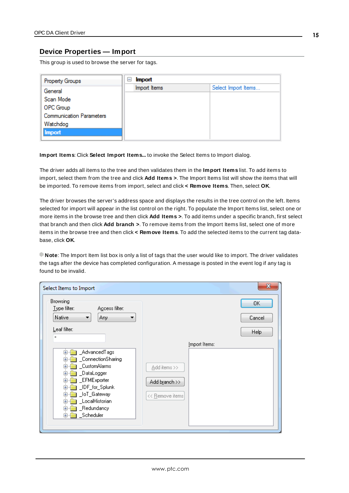## <span id="page-14-0"></span>**Device Properties — Import**

This group is used to browse the server for tags.

| Property Groups                 | <b>Import</b><br>$\blacksquare$ |                     |
|---------------------------------|---------------------------------|---------------------|
| General                         | Import Items                    | Select Import Items |
| Scan Mode                       |                                 |                     |
| OPC Group                       |                                 |                     |
| <b>Communication Parameters</b> |                                 |                     |
| Watchdog                        |                                 |                     |
| <b>Import</b>                   |                                 |                     |

**Import Items**: Click **Select Import Items...** to invoke the Select Items to Import dialog.

The driver adds all items to the tree and then validates them in the **Import Items** list. To add items to import, select them from the tree and click **Add Items >**. The Import Items list will show the items that will be imported. To remove items from import, select and click **< Remove Items**. Then, select **OK**.

<span id="page-14-1"></span>The driver browses the server's address space and displays the results in the tree control on the left. Items selected for import will appear in the list control on the right. To populate the Import Items list, select one or more items in the browse tree and then click **Add Items >**. To add items under a specific branch, first select that branch and then click **Add branch >**. To remove items from the Import Items list, select one of more items in the browse tree and then click **< Remove Items**. To add the selected items to the current tag database, click **OK**.

<span id="page-14-2"></span>**Note**: The Import Item list box is only a list of tags that the user would like to import. The driver validates the tags after the device has completed configuration. A message is posted in the event log if any tag is found to be invalid.

| Select Items to Import                                                                                                                                                                                                                                                                                                                               | $\mathbf{x}$                                                                              |
|------------------------------------------------------------------------------------------------------------------------------------------------------------------------------------------------------------------------------------------------------------------------------------------------------------------------------------------------------|-------------------------------------------------------------------------------------------|
| Browsing<br>Type filter:<br>Agdess filter:<br>Native<br>Any<br>Leaf filter:<br>×<br>_AdvancedTags<br>Œŀ<br>_ConnectionSharing<br>圧<br>CustomAlarms<br>田<br>DataLogger<br>$\overline{+}$<br><b>EFMExporter</b><br>曱<br>_IDF_for_Splunk<br>曱<br>_loT_Gateway<br>$\overline{+}$<br>LocalHistorian<br>Ŧ<br>_Redundancy<br>曱<br>Scheduler<br>$\mathbf{F}$ | OΚ<br>Cancel<br>Help<br>Import Items:<br>Add items >><br>Add branch >><br><< Remove items |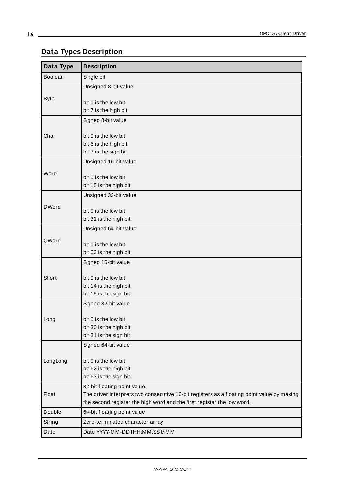# <span id="page-15-0"></span>**Data Types Description**

<span id="page-15-13"></span><span id="page-15-12"></span><span id="page-15-11"></span><span id="page-15-10"></span><span id="page-15-9"></span><span id="page-15-8"></span><span id="page-15-7"></span><span id="page-15-6"></span><span id="page-15-5"></span><span id="page-15-4"></span><span id="page-15-3"></span><span id="page-15-2"></span><span id="page-15-1"></span>

| Data Type    | <b>Description</b>                                                                         |
|--------------|--------------------------------------------------------------------------------------------|
| Boolean      | Single bit                                                                                 |
|              | Unsigned 8-bit value                                                                       |
| <b>Byte</b>  |                                                                                            |
|              | bit 0 is the low bit                                                                       |
|              | bit 7 is the high bit                                                                      |
|              | Signed 8-bit value                                                                         |
| Char         | bit 0 is the low bit                                                                       |
|              | bit 6 is the high bit                                                                      |
|              | bit 7 is the sign bit                                                                      |
|              | Unsigned 16-bit value                                                                      |
|              |                                                                                            |
| Word         | bit 0 is the low bit                                                                       |
|              | bit 15 is the high bit                                                                     |
|              | Unsigned 32-bit value                                                                      |
| <b>DWord</b> |                                                                                            |
|              | bit 0 is the low bit                                                                       |
|              | bit 31 is the high bit                                                                     |
|              | Unsigned 64-bit value                                                                      |
| QWord        |                                                                                            |
|              | bit 0 is the low bit                                                                       |
|              | bit 63 is the high bit                                                                     |
|              | Signed 16-bit value                                                                        |
|              |                                                                                            |
| Short        | bit 0 is the low bit                                                                       |
|              | bit 14 is the high bit<br>bit 15 is the sign bit                                           |
|              |                                                                                            |
|              | Signed 32-bit value                                                                        |
| Long         | bit 0 is the low bit                                                                       |
|              | bit 30 is the high bit                                                                     |
|              | bit 31 is the sign bit                                                                     |
|              | Signed 64-bit value                                                                        |
|              |                                                                                            |
| LongLong     | bit 0 is the low bit                                                                       |
|              | bit 62 is the high bit                                                                     |
|              | bit 63 is the sign bit                                                                     |
|              | 32-bit floating point value.                                                               |
| <b>Float</b> | The driver interprets two consecutive 16-bit registers as a floating point value by making |
|              | the second register the high word and the first register the low word.                     |
| Double       | 64-bit floating point value                                                                |
| String       | Zero-terminated character array                                                            |
| Date         | Date YYYY-MM-DDTHH:MM:SS.MMM                                                               |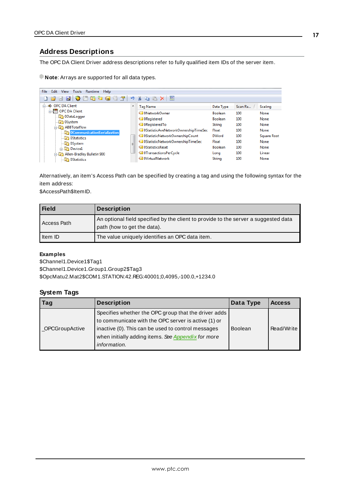# <span id="page-16-4"></span><span id="page-16-0"></span>**Address Descriptions**

<span id="page-16-3"></span>The OPC DA Client Driver address descriptions refer to fully qualified item IDs of the server item.

**Note:** Arrays are supported for all data types.

| <b>Edit</b><br><b>View</b><br><b>File</b><br>Runtime Help<br>Tools                                                                                                                                                                            |   |                                             |                |         |                    |
|-----------------------------------------------------------------------------------------------------------------------------------------------------------------------------------------------------------------------------------------------|---|---------------------------------------------|----------------|---------|--------------------|
| $rac{}{0}{0}$<br>16554456656<br><b>RACX</b><br>רש<br>- 26                                                                                                                                                                                     |   |                                             |                |         |                    |
| <b>DRC DA Client</b>                                                                                                                                                                                                                          | 杰 | <b>Tag Name</b>                             | Data Type      | Scan Ra | <b>Scaling</b>     |
| <b>E-111 OPC DA Client</b><br><b>D</b> oDataLogger<br>$\Box$ 0System<br><b>ABBTotalflow</b><br><b>DET</b> OCommunicationSerialization<br><b>Composite Statistics</b><br>$\Box$ 0System<br>Ξ<br><b>E</b> Device1<br>Allen-Bradley Bulletin 900 |   | <sup>1</sup> ONetworkOwner                  | <b>Boolean</b> | 100     | None               |
|                                                                                                                                                                                                                                               |   | <b>ORegistered</b>                          | <b>Boolean</b> | 100     | None               |
|                                                                                                                                                                                                                                               |   | <b>ORegisteredTo</b>                        | <b>String</b>  | 100     | None               |
|                                                                                                                                                                                                                                               |   | . OStatisticAveNetworkOwnershipTimeSec      | Float          | 100     | None               |
|                                                                                                                                                                                                                                               |   | OStatisticNetworkOwnershipCount             | <b>DWord</b>   | 100     | <b>Square Root</b> |
|                                                                                                                                                                                                                                               |   | <b>In OStatisticNetworkOwnershipTimeSec</b> | Float          | 100     | None               |
|                                                                                                                                                                                                                                               |   | <b>8</b> 0StatisticsReset                   | <b>Boolean</b> | 100     | None               |
|                                                                                                                                                                                                                                               |   | @ OTransactionsPerCycle                     | Long           | 100     | Linear             |
| $\Box$ OStatistics                                                                                                                                                                                                                            |   | <b>82 OVirtualNetwork</b>                   | String         | 100     | None               |

<span id="page-16-1"></span>Alternatively, an item's Access Path can be specified by creating a tag and using the following syntax for the item address:

\$AccessPath\$ItemID.

| <b>Field</b> | <b>Description</b>                                                                                                 |
|--------------|--------------------------------------------------------------------------------------------------------------------|
| Access Path  | An optional field specified by the client to provide to the server a suggested data<br>path (how to get the data). |
| Item ID      | The value uniquely identifies an OPC data item.                                                                    |

#### **Examples**

\$Channel1.Device1\$Tag1 \$Channel1.Device1.Group1.Group2\$Tag3 \$OpcMatu2.Mat2\$COM1.STATION:42.REG:40001;0,4095,-100.0,+1234.0

## <span id="page-16-5"></span>**System Tags**

<span id="page-16-2"></span>

| Tag             | <b>Description</b>                                                                                                                                                                                                                      | Data Type      | <b>Access</b> |
|-----------------|-----------------------------------------------------------------------------------------------------------------------------------------------------------------------------------------------------------------------------------------|----------------|---------------|
| _OPCGroupActive | Specifies whether the OPC group that the driver adds<br>to communicate with the OPC server is active (1) or<br>inactive (0). This can be used to control messages<br>when initially adding items. See Appendix for more<br>information. | <b>Boolean</b> | Read/Write    |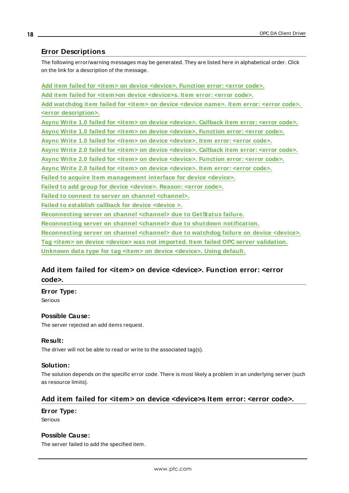## <span id="page-17-0"></span>**Error Descriptions**

The following error/warning messages may be generated. They are listed here in alphabetical order. Click on the link for a description of the message.

**Add item failed for <item> on device [<device>.](#page-17-1) Function error: <error code>. Add item failed for <item>on device [<device>s.](#page-17-2) Item error: <error code>. Add [watchdog](#page-18-0) item failed for <item> on device <device name>. Item error: <error code>. <error [description>.](#page-18-0) Async Write 1.0 failed for <item> on device [<device>.](#page-18-1) Callback item error: <error code>. Async Write 1.0 failed for <item> on device [<device>.](#page-18-2) Function error: <error code>. Async Write 1.0 failed for <item> on device [<device>.](#page-18-3) Item error: <error code>. Async Write 2.0 failed for <item> on device [<device>.](#page-19-0) Callback item error: <error code>. Async Write 2.0 failed for <item> on device [<device>.](#page-19-1) Function error: <error code>. Async Write 2.0 failed for <item> on device [<device>.](#page-19-2) Item error: <error code>. Failed to acquire item [management](#page-19-3) interface for device <device>. Failed to add group for device [<device>.](#page-20-0) Reason: <error code>. Failed to connect to server on channel [<channel>.](#page-20-1) Failed to [establish](#page-20-2) callback for device <device >. [Reconnecting](#page-21-0) server on channel <channel> due to GetStatus failure. [Reconnecting](#page-21-1) server on channel <channel> due to shutdown notification. [Reconnecting](#page-21-2) server on channel <channel> due to watchdog failure on device <device>. Tag <item> on device <device> was not imported. Item failed OPC server [validation.](#page-21-3) [Unknown](#page-22-0) data type for tag <item> on device <device>. Using default.**

# <span id="page-17-1"></span>**Add item failed for <item> on device <device>. Function error: <error code>.**

**Error Type:**

Serious

#### **Possible Cause:**

The server rejected an add items request.

#### **Result:**

The driver will not be able to read or write to the associated tag(s).

#### **Solution:**

The solution depends on the specific error code. There is most likely a problem in an underlying server (such as resource limits).

## <span id="page-17-2"></span>**Add item failed for <item> on device <device>s Item error: <error code>.**

**Error Type:** Serious

## **Possible Cause:**

The server failed to add the specified item.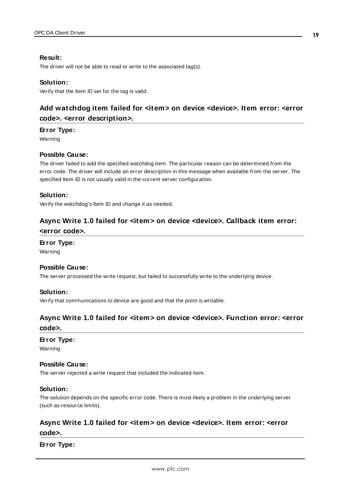## **Result:**

The driver will not be able to read or write to the associated tag(s).

#### **Solution:**

<span id="page-18-0"></span>Verify that the Item ID set for the tag is valid.

# **Add watchdog item failed for <item> on device <device>. Item error: <error code>. <error description>.**

#### **Error Type:**

Warning

#### **Possible Cause:**

The driver failed to add the specified watchdog item. The particular reason can be determined from the error code. The driver will include an error description in this message when available from the server. The specified Item ID is not usually valid in the current server configuration.

#### **Solution:**

<span id="page-18-1"></span>Verify the watchdog's Item ID and change it as needed.

# **Async Write 1.0 failed for <item> on device <device>. Callback item error: <error code>.**

#### **Error Type:**

Warning

#### **Possible Cause:**

The server processed the write request, but failed to successfully write to the underlying device.

#### **Solution:**

<span id="page-18-2"></span>Verify that communications to device are good and that the point is writable.

# **Async Write 1.0 failed for <item> on device <device>. Function error: <error code>.**

#### **Error Type:**

Warning

#### **Possible Cause:**

The server rejected a write request that included the indicated item.

#### **Solution:**

The solution depends on the specific error code. There is most likely a problem in the underlying server (such as resource limits).

# <span id="page-18-3"></span>**Async Write 1.0 failed for <item> on device <device>. Item error: <error code>.**

#### **Error Type:**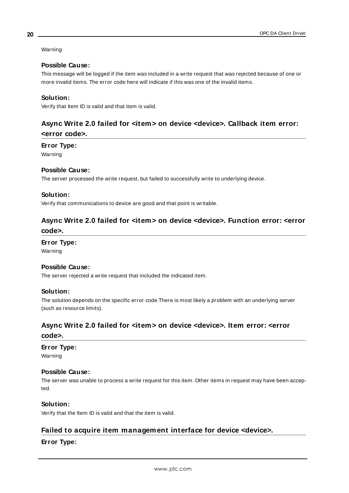#### Warning

#### **Possible Cause:**

This message will be logged if the item was included in a write request that was rejected because of one or more invalid items. The error code here will indicate if this was one of the invalid items.

#### **Solution:**

<span id="page-19-0"></span>Verify that Item ID is valid and that item is valid.

# **Async Write 2.0 failed for <item> on device <device>. Callback item error: <error code>.**

#### **Error Type:**

Warning

### **Possible Cause:**

The server processed the write request, but failed to successfully write to underlying device.

#### **Solution:**

<span id="page-19-1"></span>Verify that communications to device are good and that point is writable.

# **Async Write 2.0 failed for <item> on device <device>. Function error: <error code>.**

#### **Error Type:**

Warning

#### **Possible Cause:**

The server rejected a write request that included the indicated item.

#### **Solution:**

The solution depends on the specific error code.There is most likely a problem with an underlying server (such as resource limits).

# <span id="page-19-2"></span>**Async Write 2.0 failed for <item> on device <device>. Item error: <error code>.**

#### **Error Type:**

Warning

#### **Possible Cause:**

The server was unable to process a write request for this item. Other items in request may have been accepted.

#### **Solution:**

<span id="page-19-3"></span>Verify that the Item ID is valid and that the item is valid.

## **Failed to acquire item management interface for device <device>.**

#### **Error Type:**

#### **20**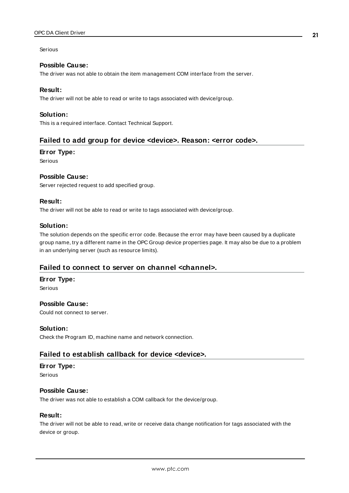Serious

### **Possible Cause:**

The driver was not able to obtain the item management COM interface from the server.

#### **Result:**

The driver will not be able to read or write to tags associated with device/group.

### **Solution:**

<span id="page-20-0"></span>This is a required interface. Contact Technical Support.

# **Failed to add group for device <device>. Reason: <error code>.**

#### **Error Type:**

Serious

#### **Possible Cause:**

Server rejected request to add specified group.

### **Result:**

The driver will not be able to read or write to tags associated with device/group.

#### **Solution:**

The solution depends on the specific error code. Because the error may have been caused by a duplicate group name, try a different name in the OPC Group device properties page. It may also be due to a problem in an underlying server (such as resource limits).

## <span id="page-20-1"></span>**Failed to connect to server on channel <channel>.**

#### **Error Type:**

Serious

#### **Possible Cause:**

Could not connect to server.

#### **Solution:**

<span id="page-20-2"></span>Check the Program ID, machine name and network connection.

## **Failed to establish callback for device <device>.**

#### **Error Type:**

Serious

#### **Possible Cause:**

The driver was not able to establish a COM callback for the device/group.

#### **Result:**

The driver will not be able to read, write or receive data change notification for tags associated with the device or group.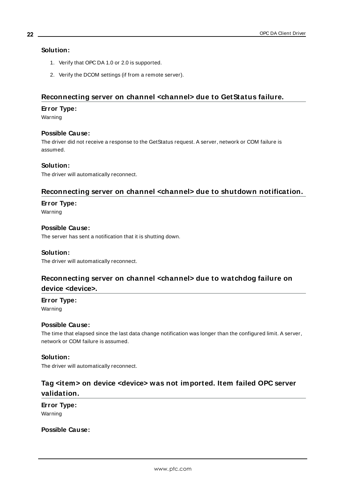## **Solution:**

- 1. Verify that OPC DA 1.0 or 2.0 is supported.
- 2. Verify the DCOM settings (if from a remote server).

## <span id="page-21-0"></span>**Reconnecting server on channel <channel> due to GetStatus failure.**

#### **Error Type:**

Warning

#### **Possible Cause:**

The driver did not receive a response to the GetStatus request. A server, network or COM failure is assumed.

#### **Solution:**

<span id="page-21-1"></span>The driver will automatically reconnect.

## **Reconnecting server on channel <channel> due to shutdown notification.**

#### **Error Type:**

Warning

#### **Possible Cause:**

The server has sent a notification that it is shutting down.

#### **Solution:**

<span id="page-21-2"></span>The driver will automatically reconnect.

# **Reconnecting server on channel <channel> due to watchdog failure on device <device>.**

**Error Type:** Warning

#### **Possible Cause:**

The time that elapsed since the last data change notification was longer than the configured limit. A server, network or COM failure is assumed.

#### **Solution:**

<span id="page-21-3"></span>The driver will automatically reconnect.

# **Tag <item> on device <device> was not imported. Item failed OPC server validation.**

**Error Type:** Warning

**Possible Cause:**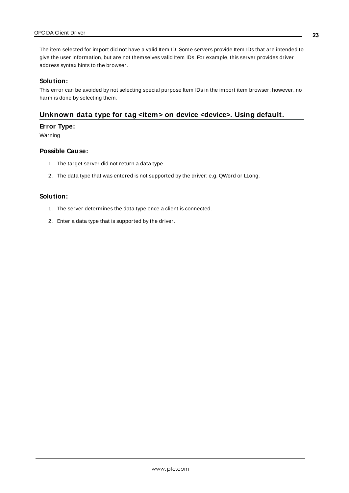The item selected for import did not have a valid Item ID. Some servers provide Item IDs that are intended to give the user information, but are not themselves valid Item IDs. For example, this server provides driver address syntax hints to the browser.

#### **Solution:**

This error can be avoided by not selecting special purpose Item IDs in the import item browser; however, no harm is done by selecting them.

## <span id="page-22-0"></span>**Unknown data type for tag <item> on device <device>. Using default.**

#### **Error Type:**

Warning

#### **Possible Cause:**

- 1. The target server did not return a data type.
- 2. The data type that was entered is not supported by the driver; e.g. QWord or LLong.

#### **Solution:**

- 1. The server determines the data type once a client is connected.
- 2. Enter a data type that is supported by the driver.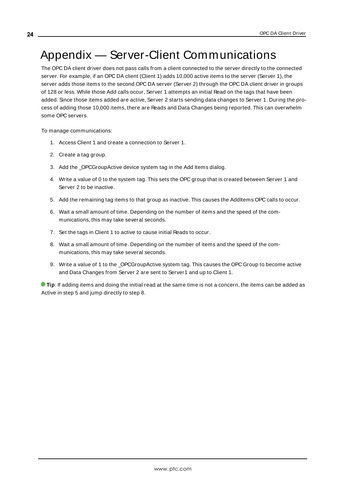# <span id="page-23-0"></span>Appendix — Server-Client Communications

The OPC DA client driver does not pass calls from a client connected to the server directly to the connected server. For example, if an OPC DA client (Client 1) adds 10,000 active items to the server (Server 1), the server adds those items to the second OPC DA server (Server 2) through the OPC DA client driver in groups of 128 or less. While those Add calls occur, Server 1 attempts an initial Read on the tags that have been added. Since those items added are active, Server 2 starts sending data changes to Server 1. During the process of adding those 10,000 items, there are Reads and Data Changes being reported. This can overwhelm some OPC servers.

To manage communications:

- 1. Access Client 1 and create a connection to Server 1.
- 2. Create a tag group.
- 3. Add the \_OPCGroupActive device system tag in the Add Items dialog.
- 4. Write a value of 0 to the system tag. This sets the OPC group that is created between Server 1 and Server 2 to be inactive.
- 5. Add the remaining tag items to that group as inactive. This causes the AddItems OPC calls to occur.
- 6. Wait a small amount of time. Depending on the number of items and the speed of the communications, this may take several seconds.
- 7. Set the tags in Client 1 to active to cause initial Reads to occur.
- 8. Wait a small amount of time. Depending on the number of items and the speed of the communications, this may take several seconds.
- 9. Write a value of 1 to the \_OPCGroupActive system tag. This causes the OPC Group to become active and Data Changes from Server 2 are sent to Server1 and up to Client 1.

**Tip**: If adding items and doing the initial read at the same time is not a concern, the items can be added as Active in step 5 and jump directly to step 8.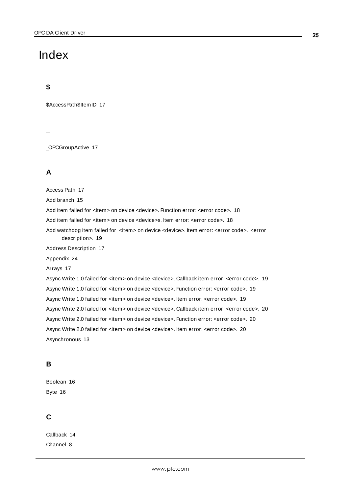# <span id="page-24-0"></span>Index

# **\$**

\$AccessPath\$ItemID [17](#page-16-1)

**\_**

\_OPCGroupActive [17](#page-16-2)

## **A**

Access Path [17](#page-16-1)

Add branch [15](#page-14-1)

Add item failed for <item> on device <device>. Function error: <error code>. [18](#page-17-1)

- Add item failed for <item> on device <device>s. Item error: <error code>. [18](#page-17-2)
- Add watchdog item failed for <item> on device <device>. Item error: <error code>. <error description>. [19](#page-18-0)

Address Description [17](#page-16-0)

Appendix [24](#page-23-0)

Arrays [17](#page-16-3)

Async Write 1.0 failed for <item> on device <device>. Callback item error: <error code>. [19](#page-18-1) Async Write 1.0 failed for <item> on device <device>. Function error: <error code>. [19](#page-18-2) Async Write 1.0 failed for <item> on device <device>. Item error: <error code>. [19](#page-18-3) Async Write 2.0 failed for <item> on device <device>. Callback item error: <error code>. [20](#page-19-0) Async Write 2.0 failed for <item> on device <device>. Function error: <error code>. [20](#page-19-1) Async Write 2.0 failed for <item> on device <device>. Item error: <error code>. [20](#page-19-2) Asynchronous [13](#page-12-1)

## **B**

Boolean [16](#page-15-1) Byte [16](#page-15-2)

# **C**

Callback [14](#page-13-2) Channel [8](#page-7-2)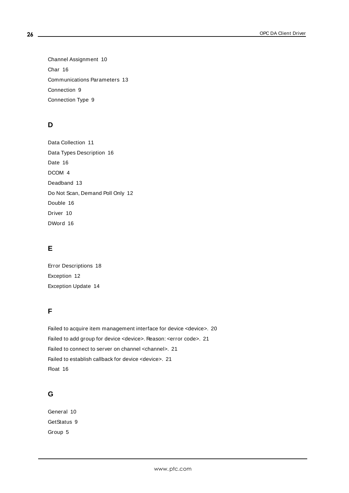Channel Assignment [10](#page-9-1) Char [16](#page-15-3) Communications Parameters [13](#page-12-0) Connection [9](#page-8-0) Connection Type [9](#page-8-1)

# **D**

Data Collection [11](#page-10-2) Data Types Description [16](#page-15-0) Date [16](#page-15-4) DCOM [4](#page-3-2) Deadband [13](#page-12-2) Do Not Scan, Demand Poll Only [12](#page-11-1) Double [16](#page-15-5) Driver [10](#page-9-2) DWord [16](#page-15-6)

# **E**

Error Descriptions [18](#page-17-0) Exception [12](#page-11-2) Exception Update [14](#page-13-3)

# **F**

Failed to acquire item management interface for device <device>. [20](#page-19-3) Failed to add group for device <device>. Reason: <error code>. [21](#page-20-0) Failed to connect to server on channel <channel>. [21](#page-20-1) Failed to establish callback for device <device>. [21](#page-20-2) Float [16](#page-15-7)

# **G**

General [10](#page-9-0) GetStatus [9](#page-8-2) Group [5](#page-4-2)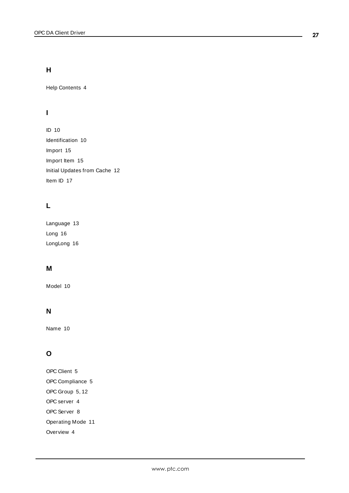# **H**

Help Contents [4](#page-3-0)

# **I**

ID [10](#page-9-3) Identification [10](#page-9-0) Import [15](#page-14-0) Import Item [15](#page-14-2) Initial Updates from Cache [12](#page-11-3) Item ID [17](#page-16-4)

# **L**

Language [13](#page-12-3) Long [16](#page-15-8) LongLong [16](#page-15-9)

# **M**

Model [10](#page-9-4)

# **N**

Name [10](#page-9-5)

# **O**

OPC Client [5](#page-4-3) OPC Compliance [5](#page-4-0) OPC Group [5](#page-4-3), [12](#page-11-0) OPC server [4](#page-3-2) OPC Server [8](#page-7-1) Operating Mode [11](#page-10-0) Overview [4](#page-3-1)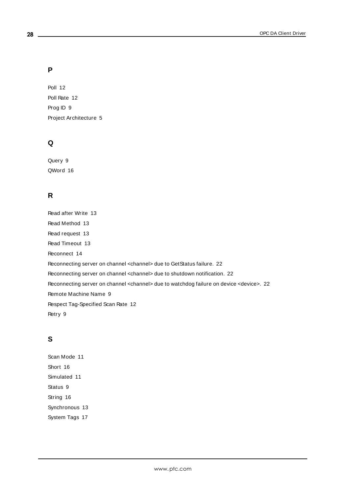## **P**

Poll [12](#page-11-4) Poll Rate [12](#page-11-5) Prog ID [9](#page-8-3) Project Architecture [5](#page-4-1)

# **Q**

Query [9](#page-8-2) QWord [16](#page-15-10)

# **R**

Read after Write [13](#page-12-4) Read Method [13](#page-12-5) Read request [13](#page-12-6) Read Timeout [13](#page-12-7) Reconnect [14](#page-13-4) Reconnecting server on channel <channel> due to GetStatus failure. [22](#page-21-0) Reconnecting server on channel <channel> due to shutdown notification. [22](#page-21-1) Reconnecting server on channel <channel> due to watchdog failure on device <device>. [22](#page-21-2) Remote Machine Name [9](#page-8-4) Respect Tag-Specified Scan Rate [12](#page-11-6) Retry [9](#page-8-5)

# **S**

Scan Mode [11](#page-10-3) Short [16](#page-15-11) Simulated [11](#page-10-4) Status [9](#page-8-2) String [16](#page-15-12) Synchronous [13](#page-12-1) System Tags [17](#page-16-5)